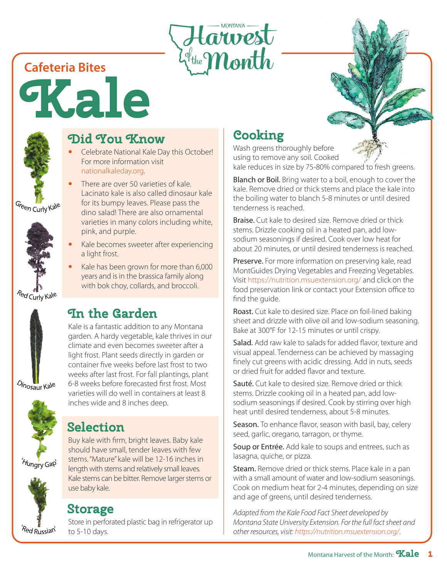

**Cafeteria Bites**

**Kale**



## **Did You Know**

- Celebrate National Kale Day this October! For more information visit nationalkaleday.org.
- There are over 50 varieties of kale. Lacinato kale is also called dinosaur kale for its bumpy leaves. Please pass the dino salad! There are also ornamental varieties in many colors including white, pink, and purple.
- Kale becomes sweeter after experiencing a light frost.
- Kale has been grown for more than 6,000 years and is in the brassica family along with bok choy, collards, and broccoli.

## **In the Garden**

Kale is a fantastic addition to any Montana garden. A hardy vegetable, kale thrives in our climate and even becomes sweeter after a light frost. Plant seeds directly in garden or container five weeks before last frost to two weeks after last frost. For fall plantings, plant 6-8 weeks before forecasted first frost. Most varieties will do well in containers at least 8 inches wide and 8 inches deep.

# **Selection**

Buy kale with firm, bright leaves. Baby kale should have small, tender leaves with few stems. "Mature" kale will be 12-16 inches in length with stems and relatively small leaves. Kale stems can be bitter. Remove larger stems or use baby kale.

# **Storage**

Store in perforated plastic bag in refrigerator up to 5-10 days.

# **Cooking**

Wash greens thoroughly before using to remove any soil. Cooked

kale reduces in size by 75-80% compared to fresh greens.

Blanch or Boil. Bring water to a boil, enough to cover the kale. Remove dried or thick stems and place the kale into the boiling water to blanch 5-8 minutes or until desired tenderness is reached.

Braise. Cut kale to desired size. Remove dried or thick stems. Drizzle cooking oil in a heated pan, add lowsodium seasonings if desired. Cook over low heat for about 20 minutes, or until desired tenderness is reached.

Preserve. For more information on preserving kale, read MontGuides Drying Vegetables and Freezing Vegetables. Visit https://nutrition.msuextension.org/ and click on the food preservation link or contact your Extension office to find the guide.

Roast. Cut kale to desired size. Place on foil-lined baking sheet and drizzle with olive oil and low-sodium seasoning. Bake at 300°F for 12-15 minutes or until crispy.

Salad. Add raw kale to salads for added flavor, texture and visual appeal. Tenderness can be achieved by massaging finely cut greens with acidic dressing. Add in nuts, seeds or dried fruit for added flavor and texture.

Sauté. Cut kale to desired size. Remove dried or thick stems. Drizzle cooking oil in a heated pan, add lowsodium seasonings if desired. Cook by stirring over high heat until desired tenderness, about 5-8 minutes.

Season. To enhance flavor, season with basil, bay, celery seed, garlic, oregano, tarragon, or thyme.

Soup or Entrée. Add kale to soups and entrees, such as lasagna, quiche, or pizza.

Steam. Remove dried or thick stems. Place kale in a pan with a small amount of water and low-sodium seasonings. Cook on medium heat for 2-4 minutes, depending on size and age of greens, until desired tenderness.

*Adapted from the Kale Food Fact Sheet developed by Montana State University Extension. For the full fact sheet and other resources, visit: https://nutrition.msuextension.org/*.

Green Curly Kale







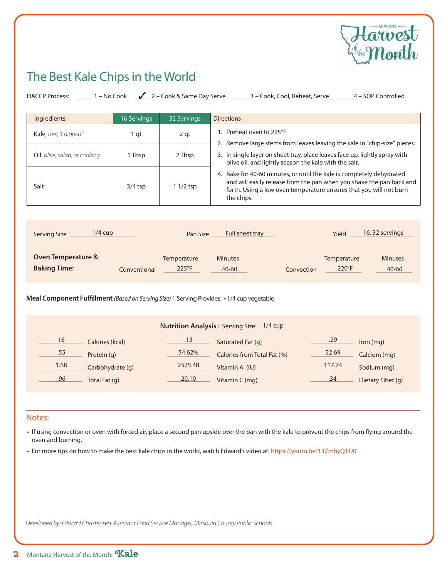

### The Best Kale Chips in the World

| HACCP Process: ______ 1 – No Cook   ∠__ 2 – Cook & Same Day Serve   _____ 3 – Cook, Cool, Reheat, Serve   _____ 4 – SOP Controlled |                  |                               |                                                                                                                                                                                                                                   |  |
|------------------------------------------------------------------------------------------------------------------------------------|------------------|-------------------------------|-----------------------------------------------------------------------------------------------------------------------------------------------------------------------------------------------------------------------------------|--|
| Ingredients                                                                                                                        | 16 Servings      | <b>32 Servings</b>            | <b>Directions</b>                                                                                                                                                                                                                 |  |
| Kale, raw, "chipped"                                                                                                               | 1 <sub>qt</sub>  | 2 <sub>qt</sub>               | 1. Preheat oven to 225°F                                                                                                                                                                                                          |  |
| Oil, olive, salad, or cooking                                                                                                      | 1 Tbsp           | 2 Tbsp                        | 2. Remove large stems from leaves leaving the kale in "chip-size" pieces.<br>3. In single layer on sheet tray, place leaves face up, lightly spray with<br>olive oil, and lightly season the kale with the salt.                  |  |
| Salt                                                                                                                               | $3/4$ tsp        | 1 1/2 tsp                     | 4. Bake for 40-60 minutes, or until the kale is completely dehydrated<br>and will easily release from the pan when you shake the pan back and<br>forth. Using a low oven temperature ensures that you will not burn<br>the chips. |  |
| Serving Size 1/4 cup<br>16, 32 servings<br>Full sheet tray<br>Yield<br>Pan Size                                                    |                  |                               |                                                                                                                                                                                                                                   |  |
| <b>Oven Temperature &amp;</b><br><b>Baking Time:</b>                                                                               | Conventional     | Temperature<br>$225^{\circ}F$ | <b>Minutes</b><br>Temperature<br><b>Minutes</b><br>220°F<br>40-60<br>40-60<br>Convection                                                                                                                                          |  |
| Meal Component Fulfillment (Based on Serving Size) 1 Serving Provides: • 1/4 cup vegetable                                         |                  |                               |                                                                                                                                                                                                                                   |  |
| Nutrition Analysis: Serving Size: 1/4 cup                                                                                          |                  |                               |                                                                                                                                                                                                                                   |  |
| 16 Calories (kcal)                                                                                                                 |                  |                               | .13 <b>Saturated Fat (g)</b><br>.29<br>Iron (mg)                                                                                                                                                                                  |  |
| .55 Protein (g)                                                                                                                    |                  | 54.62%                        | 22.69<br>Calories from Total Fat (%)<br>Calcium (mg)                                                                                                                                                                              |  |
| 1.68                                                                                                                               | Carbohydrate (g) | 2575.48                       | 117.74<br>Sodium (mg)<br>Vitamin A (IU)                                                                                                                                                                                           |  |
| .96<br>Total Fat (q)                                                                                                               |                  | 20.10                         | .34<br>Dietary Fiber (q)<br>Vitamin C (mg)                                                                                                                                                                                        |  |

#### Notes:

- If using convection or oven with forced air, place a second pan upside over the pan with the kale to prevent the chips from flying around the oven and burning.
- For more tips on how to make the best kale chips in the world, watch Edward's video at: https://youtu.be/13ZmhyQJiU0

*Developed by: Edward Christensen, Assistant Food Service Manager, Missoula County Public Schools*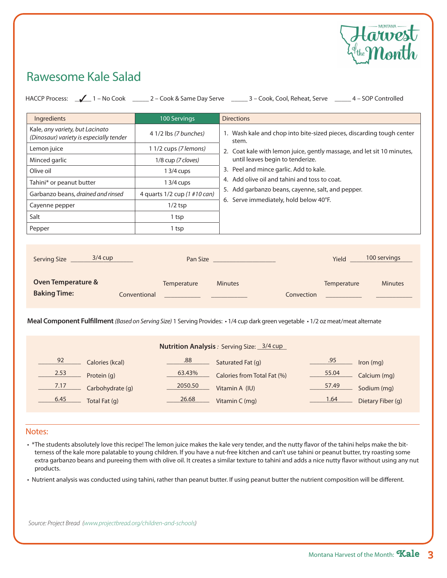

### Rawesome Kale Salad

|                                                                                                                                                                                                                                                                                            |                              | HACCP Process: 1 - No Cook 2 - Cook & Same Day Serve 2 - Cook, Cool, Reheat, Serve 2 - 4 - SOP Controlled                                                                                             |  |  |  |
|--------------------------------------------------------------------------------------------------------------------------------------------------------------------------------------------------------------------------------------------------------------------------------------------|------------------------------|-------------------------------------------------------------------------------------------------------------------------------------------------------------------------------------------------------|--|--|--|
| Ingredients                                                                                                                                                                                                                                                                                | 100 Servings                 | <b>Directions</b>                                                                                                                                                                                     |  |  |  |
| Kale, any variety, but Lacinato<br>(Dinosaur) variety is especially tender                                                                                                                                                                                                                 | 4 1/2 lbs (7 bunches)        | 1. Wash kale and chop into bite-sized pieces, discarding tough center<br>stem.                                                                                                                        |  |  |  |
| Lemon juice                                                                                                                                                                                                                                                                                | 1 1/2 cups (7 lemons)        | 2. Coat kale with lemon juice, gently massage, and let sit 10 minutes,<br>until leaves begin to tenderize.<br>3. Peel and mince garlic. Add to kale.<br>4. Add olive oil and tahini and toss to coat. |  |  |  |
| Minced garlic                                                                                                                                                                                                                                                                              | 1/8 cup (7 cloves)           |                                                                                                                                                                                                       |  |  |  |
| Olive oil                                                                                                                                                                                                                                                                                  | 1 3/4 cups                   |                                                                                                                                                                                                       |  |  |  |
| Tahini* or peanut butter                                                                                                                                                                                                                                                                   | 1 3/4 cups                   |                                                                                                                                                                                                       |  |  |  |
| Garbanzo beans, drained and rinsed                                                                                                                                                                                                                                                         | 4 quarts 1/2 cup (1 #10 can) | 5. Add garbanzo beans, cayenne, salt, and pepper.                                                                                                                                                     |  |  |  |
| Cayenne pepper                                                                                                                                                                                                                                                                             | $1/2$ tsp                    | 6. Serve immediately, hold below 40°F.                                                                                                                                                                |  |  |  |
| Salt                                                                                                                                                                                                                                                                                       | 1 tsp                        |                                                                                                                                                                                                       |  |  |  |
| Pepper                                                                                                                                                                                                                                                                                     | 1 tsp                        |                                                                                                                                                                                                       |  |  |  |
| <b>Oven Temperature &amp;</b><br>Temperature<br><b>Minutes</b><br><b>Minutes</b><br>Temperature<br><b>Baking Time:</b><br>Conventional<br>Convection<br>Meal Component Fulfillment (Based on Serving Size) 1 Serving Provides: • 1/4 cup dark green vegetable • 1/2 oz meat/meat alternate |                              |                                                                                                                                                                                                       |  |  |  |
| Nutrition Analysis: Serving Size: 3/4 cup                                                                                                                                                                                                                                                  |                              |                                                                                                                                                                                                       |  |  |  |
| 92 Calories (kcal)                                                                                                                                                                                                                                                                         |                              | .95 Iron (mg)<br>.88 <b>Saturated Fat (g)</b>                                                                                                                                                         |  |  |  |
| 2.53 Protein (g)                                                                                                                                                                                                                                                                           | 63.43%                       | 55.04 Calcium (mg)<br>Calories from Total Fat (%)                                                                                                                                                     |  |  |  |
| 7.17 Carbohydrate (g)                                                                                                                                                                                                                                                                      | 2050.50                      | 57.49    Sodium (mg)<br>Vitamin A (IU)                                                                                                                                                                |  |  |  |
| 6.45 Total Fat (g)                                                                                                                                                                                                                                                                         | 26.68                        | $\begin{array}{c} 1.64 \\ -1.64 \end{array}$<br>Dietary Fiber (g)<br>Vitamin C (mg)                                                                                                                   |  |  |  |
|                                                                                                                                                                                                                                                                                            |                              |                                                                                                                                                                                                       |  |  |  |

#### Notes:

- \*The students absolutely love this recipe! The lemon juice makes the kale very tender, and the nutty flavor of the tahini helps make the bitterness of the kale more palatable to young children. If you have a nut-free kitchen and can't use tahini or peanut butter, try roasting some extra garbanzo beans and pureeing them with olive oil. It creates a similar texture to tahini and adds a nice nutty flavor without using any nut products.
- Nutrient analysis was conducted using tahini, rather than peanut butter. If using peanut butter the nutrient composition will be different.

*Source: Project Bread (www.projectbread.org/children-and-schools)*